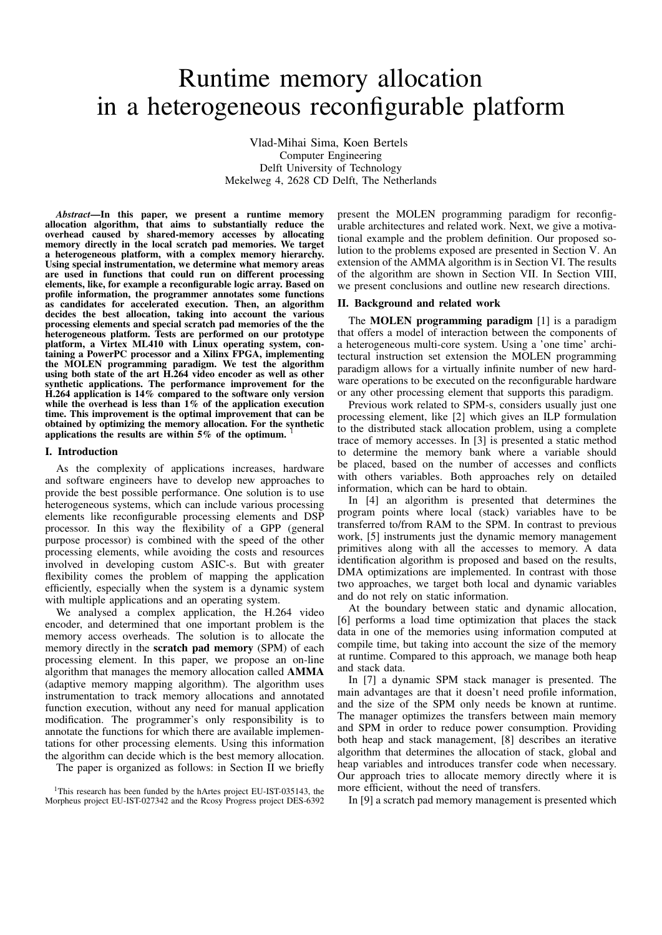# Runtime memory allocation in a heterogeneous reconfigurable platform

Vlad-Mihai Sima, Koen Bertels Computer Engineering Delft University of Technology Mekelweg 4, 2628 CD Delft, The Netherlands

*Abstract*—In this paper, we present a runtime memory allocation algorithm, that aims to substantially reduce the overhead caused by shared-memory accesses by allocating memory directly in the local scratch pad memories. We target a heterogeneous platform, with a complex memory hierarchy. Using special instrumentation, we determine what memory areas are used in functions that could run on different processing elements, like, for example a reconfigurable logic array. Based on profile information, the programmer annotates some functions as candidates for accelerated execution. Then, an algorithm decides the best allocation, taking into account the various processing elements and special scratch pad memories of the the heterogeneous platform. Tests are performed on our prototype platform, a Virtex ML410 with Linux operating system, containing a PowerPC processor and a Xilinx FPGA, implementing the MOLEN programming paradigm. We test the algorithm using both state of the art H.264 video encoder as well as other synthetic applications. The performance improvement for the H.264 application is 14% compared to the software only version while the overhead is less than  $1\%$  of the application execution time. This improvement is the optimal improvement that can be obtained by optimizing the memory allocation. For the synthetic applications the results are within  $5\%$  of the optimum.

#### I. Introduction

As the complexity of applications increases, hardware and software engineers have to develop new approaches to provide the best possible performance. One solution is to use heterogeneous systems, which can include various processing elements like reconfigurable processing elements and DSP processor. In this way the flexibility of a GPP (general purpose processor) is combined with the speed of the other processing elements, while avoiding the costs and resources involved in developing custom ASIC-s. But with greater flexibility comes the problem of mapping the application efficiently, especially when the system is a dynamic system with multiple applications and an operating system.

We analysed a complex application, the H.264 video encoder, and determined that one important problem is the memory access overheads. The solution is to allocate the memory directly in the scratch pad memory (SPM) of each processing element. In this paper, we propose an on-line algorithm that manages the memory allocation called AMMA (adaptive memory mapping algorithm). The algorithm uses instrumentation to track memory allocations and annotated function execution, without any need for manual application modification. The programmer's only responsibility is to annotate the functions for which there are available implementations for other processing elements. Using this information the algorithm can decide which is the best memory allocation.

The paper is organized as follows: in Section II we briefly

<sup>1</sup>This research has been funded by the hArtes project EU-IST-035143, the Morpheus project EU-IST-027342 and the Rcosy Progress project DES-6392 present the MOLEN programming paradigm for reconfigurable architectures and related work. Next, we give a motivational example and the problem definition. Our proposed solution to the problems exposed are presented in Section V. An extension of the AMMA algorithm is in Section VI. The results of the algorithm are shown in Section VII. In Section VIII, we present conclusions and outline new research directions.

#### II. Background and related work

The MOLEN programming paradigm [1] is a paradigm that offers a model of interaction between the components of a heterogeneous multi-core system. Using a 'one time' architectural instruction set extension the MOLEN programming paradigm allows for a virtually infinite number of new hardware operations to be executed on the reconfigurable hardware or any other processing element that supports this paradigm.

Previous work related to SPM-s, considers usually just one processing element, like [2] which gives an ILP formulation to the distributed stack allocation problem, using a complete trace of memory accesses. In [3] is presented a static method to determine the memory bank where a variable should be placed, based on the number of accesses and conflicts with others variables. Both approaches rely on detailed information, which can be hard to obtain.

In [4] an algorithm is presented that determines the program points where local (stack) variables have to be transferred to/from RAM to the SPM. In contrast to previous work, [5] instruments just the dynamic memory management primitives along with all the accesses to memory. A data identification algorithm is proposed and based on the results, DMA optimizations are implemented. In contrast with those two approaches, we target both local and dynamic variables and do not rely on static information.

At the boundary between static and dynamic allocation, [6] performs a load time optimization that places the stack data in one of the memories using information computed at compile time, but taking into account the size of the memory at runtime. Compared to this approach, we manage both heap and stack data.

In [7] a dynamic SPM stack manager is presented. The main advantages are that it doesn't need profile information, and the size of the SPM only needs be known at runtime. The manager optimizes the transfers between main memory and SPM in order to reduce power consumption. Providing both heap and stack management, [8] describes an iterative algorithm that determines the allocation of stack, global and heap variables and introduces transfer code when necessary. Our approach tries to allocate memory directly where it is more efficient, without the need of transfers.

In [9] a scratch pad memory management is presented which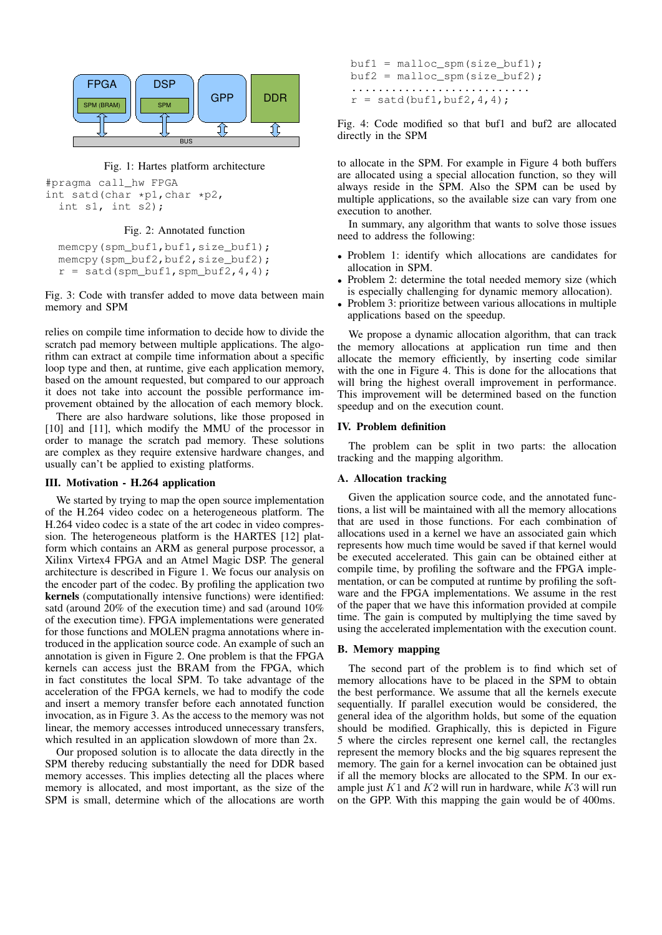

Fig. 1: Hartes platform architecture

```
#pragma call_hw FPGA
int satd(char *p1,char *p2,
  int s1, int s2);
```
#### Fig. 2: Annotated function

```
memcpy(spm_buf1,buf1,size_buf1);
memcpy(spm_buf2,buf2,size_buf2);
r = \text{sad(spm_buff1,spm_buff2,4,4)};
```
Fig. 3: Code with transfer added to move data between main memory and SPM

relies on compile time information to decide how to divide the scratch pad memory between multiple applications. The algorithm can extract at compile time information about a specific loop type and then, at runtime, give each application memory, based on the amount requested, but compared to our approach it does not take into account the possible performance improvement obtained by the allocation of each memory block.

There are also hardware solutions, like those proposed in [10] and [11], which modify the MMU of the processor in order to manage the scratch pad memory. These solutions are complex as they require extensive hardware changes, and usually can't be applied to existing platforms.

#### III. Motivation - H.264 application

We started by trying to map the open source implementation of the H.264 video codec on a heterogeneous platform. The H.264 video codec is a state of the art codec in video compression. The heterogeneous platform is the HARTES [12] platform which contains an ARM as general purpose processor, a Xilinx Virtex4 FPGA and an Atmel Magic DSP. The general architecture is described in Figure 1. We focus our analysis on the encoder part of the codec. By profiling the application two kernels (computationally intensive functions) were identified: satd (around 20% of the execution time) and sad (around 10% of the execution time). FPGA implementations were generated for those functions and MOLEN pragma annotations where introduced in the application source code. An example of such an annotation is given in Figure 2. One problem is that the FPGA kernels can access just the BRAM from the FPGA, which in fact constitutes the local SPM. To take advantage of the acceleration of the FPGA kernels, we had to modify the code and insert a memory transfer before each annotated function invocation, as in Figure 3. As the access to the memory was not linear, the memory accesses introduced unnecessary transfers, which resulted in an application slowdown of more than 2x.

Our proposed solution is to allocate the data directly in the SPM thereby reducing substantially the need for DDR based memory accesses. This implies detecting all the places where memory is allocated, and most important, as the size of the SPM is small, determine which of the allocations are worth  $buf1 = malloc_spm(size_buff);$ buf2 = malloc\_spm(size\_buf2); ...........................  $r = \text{sad(buf1,buf2,4,4)};$ 

Fig. 4: Code modified so that buf1 and buf2 are allocated directly in the SPM

to allocate in the SPM. For example in Figure 4 both buffers are allocated using a special allocation function, so they will always reside in the SPM. Also the SPM can be used by multiple applications, so the available size can vary from one execution to another.

In summary, any algorithm that wants to solve those issues need to address the following:

- Problem 1: identify which allocations are candidates for allocation in SPM.
- Problem 2: determine the total needed memory size (which is especially challenging for dynamic memory allocation).
- Problem 3: prioritize between various allocations in multiple applications based on the speedup.

We propose a dynamic allocation algorithm, that can track the memory allocations at application run time and then allocate the memory efficiently, by inserting code similar with the one in Figure 4. This is done for the allocations that will bring the highest overall improvement in performance. This improvement will be determined based on the function speedup and on the execution count.

#### IV. Problem definition

The problem can be split in two parts: the allocation tracking and the mapping algorithm.

## A. Allocation tracking

Given the application source code, and the annotated functions, a list will be maintained with all the memory allocations that are used in those functions. For each combination of allocations used in a kernel we have an associated gain which represents how much time would be saved if that kernel would be executed accelerated. This gain can be obtained either at compile time, by profiling the software and the FPGA implementation, or can be computed at runtime by profiling the software and the FPGA implementations. We assume in the rest of the paper that we have this information provided at compile time. The gain is computed by multiplying the time saved by using the accelerated implementation with the execution count.

# B. Memory mapping

The second part of the problem is to find which set of memory allocations have to be placed in the SPM to obtain the best performance. We assume that all the kernels execute sequentially. If parallel execution would be considered, the general idea of the algorithm holds, but some of the equation should be modified. Graphically, this is depicted in Figure 5 where the circles represent one kernel call, the rectangles represent the memory blocks and the big squares represent the memory. The gain for a kernel invocation can be obtained just if all the memory blocks are allocated to the SPM. In our example just  $K1$  and  $K2$  will run in hardware, while  $K3$  will run on the GPP. With this mapping the gain would be of 400ms.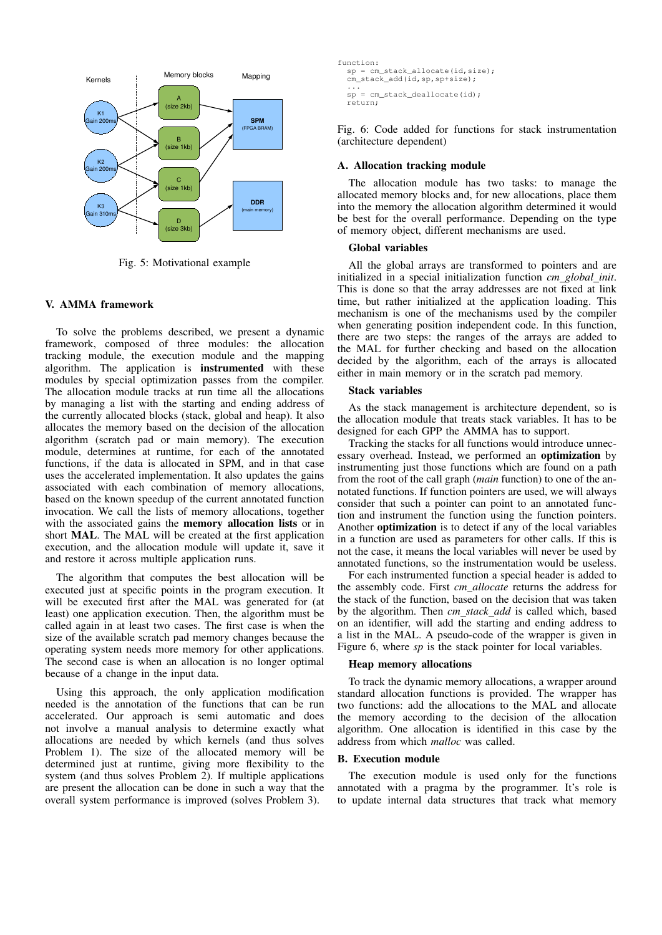

Fig. 5: Motivational example

#### V. AMMA framework

To solve the problems described, we present a dynamic framework, composed of three modules: the allocation tracking module, the execution module and the mapping algorithm. The application is instrumented with these modules by special optimization passes from the compiler. The allocation module tracks at run time all the allocations by managing a list with the starting and ending address of the currently allocated blocks (stack, global and heap). It also allocates the memory based on the decision of the allocation algorithm (scratch pad or main memory). The execution module, determines at runtime, for each of the annotated functions, if the data is allocated in SPM, and in that case uses the accelerated implementation. It also updates the gains associated with each combination of memory allocations, based on the known speedup of the current annotated function invocation. We call the lists of memory allocations, together with the associated gains the **memory allocation lists** or in short MAL. The MAL will be created at the first application execution, and the allocation module will update it, save it and restore it across multiple application runs.

The algorithm that computes the best allocation will be executed just at specific points in the program execution. It will be executed first after the MAL was generated for (at least) one application execution. Then, the algorithm must be called again in at least two cases. The first case is when the size of the available scratch pad memory changes because the operating system needs more memory for other applications. The second case is when an allocation is no longer optimal because of a change in the input data.

Using this approach, the only application modification needed is the annotation of the functions that can be run accelerated. Our approach is semi automatic and does not involve a manual analysis to determine exactly what allocations are needed by which kernels (and thus solves Problem 1). The size of the allocated memory will be determined just at runtime, giving more flexibility to the system (and thus solves Problem 2). If multiple applications are present the allocation can be done in such a way that the overall system performance is improved (solves Problem 3).

```
function:
   sp = cm_stack_allocate(id,size);
cm_stack_add(id,sp,sp+size);
   ...
sp = cm_stack_deallocate(id);
  return;
```
Fig. 6: Code added for functions for stack instrumentation (architecture dependent)

# A. Allocation tracking module

The allocation module has two tasks: to manage the allocated memory blocks and, for new allocations, place them into the memory the allocation algorithm determined it would be best for the overall performance. Depending on the type of memory object, different mechanisms are used.

# Global variables

All the global arrays are transformed to pointers and are initialized in a special initialization function *cm global init*. This is done so that the array addresses are not fixed at link time, but rather initialized at the application loading. This mechanism is one of the mechanisms used by the compiler when generating position independent code. In this function, there are two steps: the ranges of the arrays are added to the MAL for further checking and based on the allocation decided by the algorithm, each of the arrays is allocated either in main memory or in the scratch pad memory.

#### Stack variables

As the stack management is architecture dependent, so is the allocation module that treats stack variables. It has to be designed for each GPP the AMMA has to support.

Tracking the stacks for all functions would introduce unnecessary overhead. Instead, we performed an optimization by instrumenting just those functions which are found on a path from the root of the call graph (*main* function) to one of the annotated functions. If function pointers are used, we will always consider that such a pointer can point to an annotated function and instrument the function using the function pointers. Another optimization is to detect if any of the local variables in a function are used as parameters for other calls. If this is not the case, it means the local variables will never be used by annotated functions, so the instrumentation would be useless.

For each instrumented function a special header is added to the assembly code. First *cm allocate* returns the address for the stack of the function, based on the decision that was taken by the algorithm. Then *cm stack add* is called which, based on an identifier, will add the starting and ending address to a list in the MAL. A pseudo-code of the wrapper is given in Figure 6, where *sp* is the stack pointer for local variables.

# Heap memory allocations

To track the dynamic memory allocations, a wrapper around standard allocation functions is provided. The wrapper has two functions: add the allocations to the MAL and allocate the memory according to the decision of the allocation algorithm. One allocation is identified in this case by the address from which *malloc* was called.

# B. Execution module

The execution module is used only for the functions annotated with a pragma by the programmer. It's role is to update internal data structures that track what memory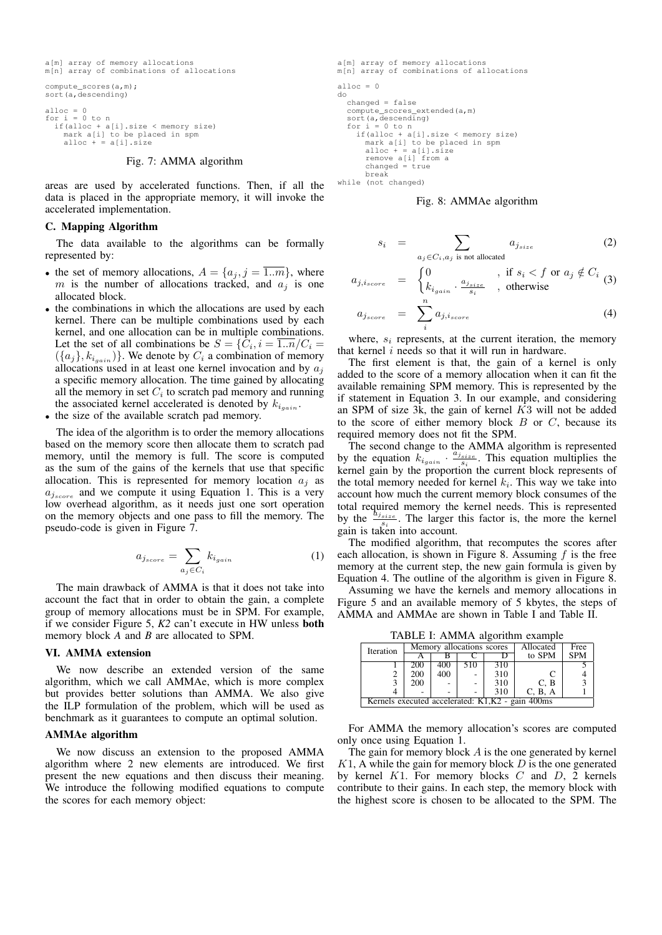```
a[m] array of memory allocations
m[n] array of combinations of allocations
compute_scores(a,m);
```

```
alloc = 0
for i = 0 to n
   if(alloc + a[i].size < memory size)
mark a[i] to be placed in spm
      alloc + = a[i].size
```
Fig. 7: AMMA algorithm

areas are used by accelerated functions. Then, if all the data is placed in the appropriate memory, it will invoke the accelerated implementation.

# C. Mapping Algorithm

sort(a,descending)

The data available to the algorithms can be formally represented by:

- the set of memory allocations,  $A = \{a_j, j = \overline{1..m}\}\,$ , where m is the number of allocations tracked, and  $a_i$  is one allocated block.
- the combinations in which the allocations are used by each kernel. There can be multiple combinations used by each kernel, and one allocation can be in multiple combinations. Let the set of all combinations be  $S = \{C_i, i = \overline{1..n}/C_i =$  $({a_j}, {k_{i_{gain}}})$ . We denote by  $C_i$  a combination of memory allocations used in at least one kernel invocation and by  $a_i$ a specific memory allocation. The time gained by allocating all the memory in set  $C_i$  to scratch pad memory and running the associated kernel accelerated is denoted by  $k_{i_{gain}}$ .
- the size of the available scratch pad memory.

The idea of the algorithm is to order the memory allocations based on the memory score then allocate them to scratch pad memory, until the memory is full. The score is computed as the sum of the gains of the kernels that use that specific allocation. This is represented for memory location  $a_i$  as  $a_{j_{score}}$  and we compute it using Equation 1. This is a very low overhead algorithm, as it needs just one sort operation on the memory objects and one pass to fill the memory. The pseudo-code is given in Figure 7.

$$
a_{j_{score}} = \sum_{a_j \in C_i} k_{i_{gain}} \tag{1}
$$

The main drawback of AMMA is that it does not take into account the fact that in order to obtain the gain, a complete group of memory allocations must be in SPM. For example, if we consider Figure 5, *K2* can't execute in HW unless both memory block *A* and *B* are allocated to SPM.

### VI. AMMA extension

We now describe an extended version of the same algorithm, which we call AMMAe, which is more complex but provides better solutions than AMMA. We also give the ILP formulation of the problem, which will be used as benchmark as it guarantees to compute an optimal solution.

# AMMAe algorithm

We now discuss an extension to the proposed AMMA algorithm where 2 new elements are introduced. We first present the new equations and then discuss their meaning. We introduce the following modified equations to compute the scores for each memory object:

```
a[m] array of memory allocations
m[n] array of combinations of allocations
\text{alloc} = 0do
  changed = false
   compute_scores_extended(a,m)
sort(a,descending)
   for i = 0 to n
if(alloc + a[i].size < memory size)
        mark a[i] to be placed in spm
alloc + = a[i].size
        remove a[i] from a
        changed = true
       break
```
while (not changed)



$$
s_i = \sum_{a_j \in C_i, a_j \text{ is not allocated}} a_{j_{size}} \tag{2}
$$

$$
a_{j,i_{score}} = \begin{cases} 0 & , \text{ if } s_i < f \text{ or } a_j \notin C_i \\ k_{i_{gain}} \cdot \frac{a_{j_{size}}}{s_i} & , \text{ otherwise} \end{cases} (3)
$$

$$
a_{j_{score}} = \sum_{i}^{n} a_{j,i_{score}} \tag{4}
$$

where,  $s_i$  represents, at the current iteration, the memory that kernel  $i$  needs so that it will run in hardware.

The first element is that, the gain of a kernel is only added to the score of a memory allocation when it can fit the available remaining SPM memory. This is represented by the if statement in Equation 3. In our example, and considering an SPM of size 3k, the gain of kernel K3 will not be added to the score of either memory block  $B$  or  $C$ , because its required memory does not fit the SPM.

The second change to the AMMA algorithm is represented by the equation  $k_{i_{gain}}$  ·  $\frac{a_{i_{size}}}{s_i}$ . This equation multiplies the kernel gain by the proportion the current block represents of the total memory needed for kernel  $k_i$ . This way we take into account how much the current memory block consumes of the total required memory the kernel needs. This is represented by the  $\frac{a_{j_{size}}}{s_i}$ . The larger this factor is, the more the kernel gain is taken into account.

The modified algorithm, that recomputes the scores after each allocation, is shown in Figure 8. Assuming  $f$  is the free memory at the current step, the new gain formula is given by Equation 4. The outline of the algorithm is given in Figure 8.

Assuming we have the kernels and memory allocations in Figure 5 and an available memory of 5 kbytes, the steps of AMMA and AMMAe are shown in Table I and Table II.

TABLE I: AMMA algorithm example

| Iteration                                          |     | Memory allocations scores |     | Allocated | Free    |            |
|----------------------------------------------------|-----|---------------------------|-----|-----------|---------|------------|
|                                                    |     |                           |     |           | to SPM  | <b>SPM</b> |
|                                                    | 200 | 400                       | 510 | 310       |         |            |
|                                                    | 200 | 400                       |     | 310       |         |            |
|                                                    | 200 |                           |     | 310       | C, B    |            |
|                                                    |     |                           |     | 310       | C, B, A |            |
| Kernels executed accelerated: $K1,K2$ - gain 400ms |     |                           |     |           |         |            |

For AMMA the memory allocation's scores are computed only once using Equation 1.

The gain for memory block  $A$  is the one generated by kernel  $K1$ , A while the gain for memory block  $D$  is the one generated by kernel  $K1$ . For memory blocks  $C$  and  $D$ , 2 kernels contribute to their gains. In each step, the memory block with the highest score is chosen to be allocated to the SPM. The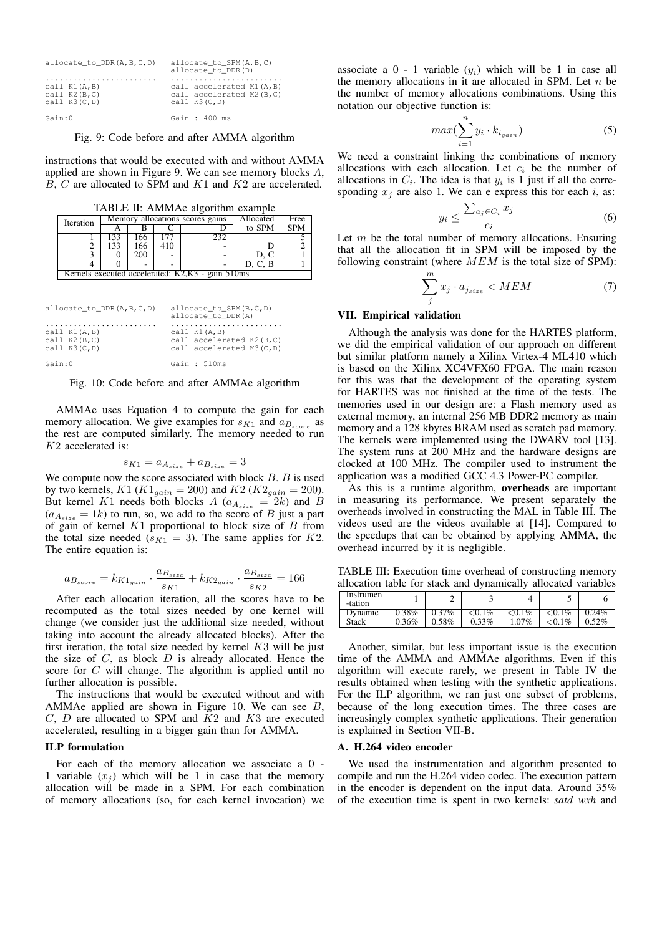| allocate to $DDR(A, B, C, D)$                      | allocate to SPM(A, B, C)<br>allocate to DDR(D)                          |  |  |  |
|----------------------------------------------------|-------------------------------------------------------------------------|--|--|--|
| call $K1(A,B)$<br>call $K2(B,C)$<br>call $K3(C,D)$ | call accelerated K1(A, B)<br>call accelerated K2(B,C)<br>call $K3(C,D)$ |  |  |  |
| Gain:0                                             | Gain: 400 ms                                                            |  |  |  |

Fig. 9: Code before and after AMMA algorithm

instructions that would be executed with and without AMMA applied are shown in Figure 9. We can see memory blocks A, B, C are allocated to SPM and K1 and K2 are accelerated.

TABLE II: AMMAe algorithm example

| Iteration                                         |     | Memory allocations scores gains |     | Allocated | Free    |            |  |
|---------------------------------------------------|-----|---------------------------------|-----|-----------|---------|------------|--|
|                                                   |     |                                 |     |           | to SPM  | <b>SPM</b> |  |
|                                                   |     | 166                             |     | 232       |         |            |  |
|                                                   | 133 | 166                             | 410 |           |         |            |  |
|                                                   |     | 200                             |     |           | D. C    |            |  |
|                                                   |     |                                 |     |           | D. C. B |            |  |
| Kernels executed accelerated: K2, K3 - gain 510ms |     |                                 |     |           |         |            |  |

| allocate to DDR(A, B, C, D)                      | allocate to $SPM(B,C,D)$<br>allocate to DDR(A)                         |  |  |  |
|--------------------------------------------------|------------------------------------------------------------------------|--|--|--|
| call K1(A,B)<br>call $K2(B,C)$<br>call $K3(C,D)$ | call $K1(A,B)$<br>call accelerated K2(B,C)<br>call accelerated K3(C,D) |  |  |  |
| Gain:0                                           | Gain: 510ms                                                            |  |  |  |

Fig. 10: Code before and after AMMAe algorithm

AMMAe uses Equation 4 to compute the gain for each memory allocation. We give examples for  $s_{K1}$  and  $a_{B_{score}}$  as the rest are computed similarly. The memory needed to run K<sub>2</sub> accelerated is:

$$
s_{K1} = a_{A_{size}} + a_{B_{size}} = 3
$$

We compute now the score associated with block  $B$ .  $B$  is used by two kernels,  $K1$  ( $K1_{gain} = 200$ ) and  $K2$  ( $K2_{gain} = 200$ ). But kernel K1 needs both blocks A  $(a_{A<sub>size</sub>} = 2k)$  and B  $(a_{A<sub>size</sub>} = 1k)$  to run, so, we add to the score of B just a part of gain of kernel  $K1$  proportional to block size of  $B$  from the total size needed ( $s_{K1} = 3$ ). The same applies for K2. The entire equation is:

$$
a_{B_{score}} = k_{K1_{gain}} \cdot \frac{a_{B_{size}}}{s_{K1}} + k_{K2_{gain}} \cdot \frac{a_{B_{size}}}{s_{K2}} = 166
$$

After each allocation iteration, all the scores have to be recomputed as the total sizes needed by one kernel will change (we consider just the additional size needed, without taking into account the already allocated blocks). After the first iteration, the total size needed by kernel  $K3$  will be just the size of  $C$ , as block  $D$  is already allocated. Hence the score for C will change. The algorithm is applied until no further allocation is possible.

The instructions that would be executed without and with AMMAe applied are shown in Figure 10. We can see  $B$ ,  $C, D$  are allocated to SPM and  $K2$  and  $K3$  are executed accelerated, resulting in a bigger gain than for AMMA.

## ILP formulation

For each of the memory allocation we associate a 0 - 1 variable  $(x_i)$  which will be 1 in case that the memory allocation will be made in a SPM. For each combination of memory allocations (so, for each kernel invocation) we

associate a  $0 - 1$  variable  $(y_i)$  which will be 1 in case all the memory allocations in it are allocated in SPM. Let  $n$  be the number of memory allocations combinations. Using this notation our objective function is:

$$
max(\sum_{i=1}^{n} y_i \cdot k_{i_{gain}}) \tag{5}
$$

We need a constraint linking the combinations of memory allocations with each allocation. Let  $c_i$  be the number of allocations in  $C_i$ . The idea is that  $y_i$  is 1 just if all the corresponding  $x_i$  are also 1. We can e express this for each i, as:

$$
y_i \le \frac{\sum_{a_j \in C_i} x_j}{c_i} \tag{6}
$$

Let  $m$  be the total number of memory allocations. Ensuring that all the allocation fit in SPM will be imposed by the following constraint (where  $MEM$  is the total size of SPM):

$$
\sum_{j}^{m} x_j \cdot a_{j_{size}} < MEM \tag{7}
$$

#### VII. Empirical validation

Although the analysis was done for the HARTES platform, we did the empirical validation of our approach on different but similar platform namely a Xilinx Virtex-4 ML410 which is based on the Xilinx XC4VFX60 FPGA. The main reason for this was that the development of the operating system for HARTES was not finished at the time of the tests. The memories used in our design are: a Flash memory used as external memory, an internal 256 MB DDR2 memory as main memory and a 128 kbytes BRAM used as scratch pad memory. The kernels were implemented using the DWARV tool [13]. The system runs at 200 MHz and the hardware designs are clocked at 100 MHz. The compiler used to instrument the application was a modified GCC 4.3 Power-PC compiler.

As this is a runtime algorithm, overheads are important in measuring its performance. We present separately the overheads involved in constructing the MAL in Table III. The videos used are the videos available at [14]. Compared to the speedups that can be obtained by applying AMMA, the overhead incurred by it is negligible.

TABLE III: Execution time overhead of constructing memory allocation table for stack and dynamically allocated variables

| Instrumen<br>-tation    |                      |                   |                     |                        |                        |                 |
|-------------------------|----------------------|-------------------|---------------------|------------------------|------------------------|-----------------|
| Dynamic<br><b>Stack</b> | $0.38\%$<br>$0.36\%$ | $0.37\%$<br>0.58% | ${<}0.1\%$<br>0.33% | ${<}0.1\%$<br>$1.07\%$ | ${<}0.1\%$<br>$<$ 0.1% | 24%<br>$0.52\%$ |
|                         |                      |                   |                     |                        |                        |                 |

Another, similar, but less important issue is the execution time of the AMMA and AMMAe algorithms. Even if this algorithm will execute rarely, we present in Table IV the results obtained when testing with the synthetic applications. For the ILP algorithm, we ran just one subset of problems, because of the long execution times. The three cases are increasingly complex synthetic applications. Their generation is explained in Section VII-B.

#### A. H.264 video encoder

We used the instrumentation and algorithm presented to compile and run the H.264 video codec. The execution pattern in the encoder is dependent on the input data. Around 35% of the execution time is spent in two kernels: *satd wxh* and